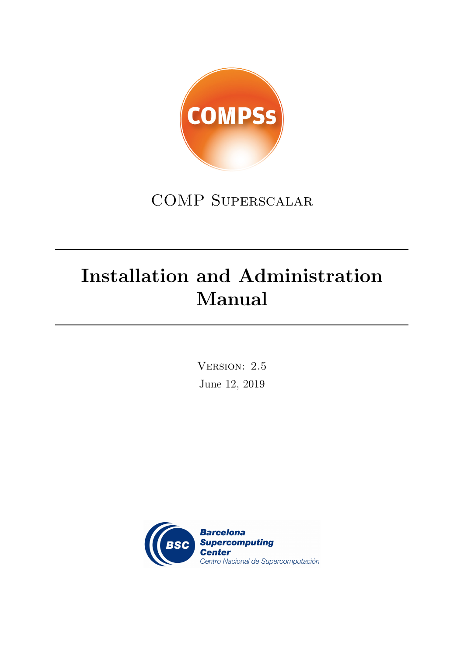

## COMP Superscalar

# Installation and Administration Manual

Version: 2.5 June 12, 2019

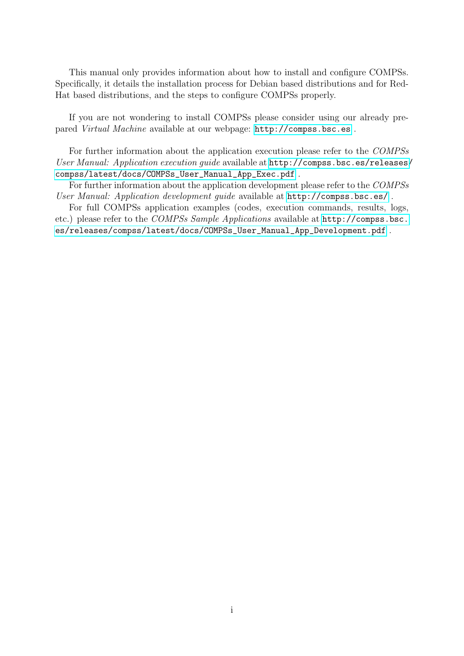This manual only provides information about how to install and configure COMPSs. Specifically, it details the installation process for Debian based distributions and for Red-Hat based distributions, and the steps to configure COMPSs properly.

If you are not wondering to install COMPSs please consider using our already prepared Virtual Machine available at our webpage: <http://compss.bsc.es> .

For further information about the application execution please refer to the COMPSs User Manual: Application execution guide available at [http://compss.bsc.es/releases/](http://compss.bsc.es/releases/compss/latest/docs/COMPSs_User_Manual_App_Exec.pdf) [compss/latest/docs/COMPSs\\_User\\_Manual\\_App\\_Exec.pdf](http://compss.bsc.es/releases/compss/latest/docs/COMPSs_User_Manual_App_Exec.pdf) .

For further information about the application development please refer to the COMPSs User Manual: Application development guide available at <http://compss.bsc.es/> .

For full COMPSs application examples (codes, execution commands, results, logs, etc.) please refer to the COMPSs Sample Applications available at [http://compss.bsc.](http://compss.bsc.es/releases/compss/latest/docs/COMPSs_User_Manual_App_Development.pdf) [es/releases/compss/latest/docs/COMPSs\\_User\\_Manual\\_App\\_Development.pdf](http://compss.bsc.es/releases/compss/latest/docs/COMPSs_User_Manual_App_Development.pdf) .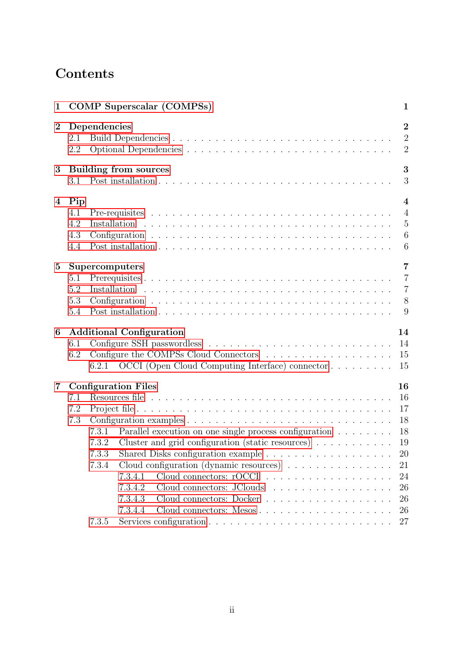## Contents

| 1              |                                 | <b>COMP</b> Superscalar (COMPSs)<br>$\mathbf{1}$                                                                                                                                                                                                                                                |
|----------------|---------------------------------|-------------------------------------------------------------------------------------------------------------------------------------------------------------------------------------------------------------------------------------------------------------------------------------------------|
| $\bf{2}$       | 2.1<br>2.2                      | $\overline{2}$<br>Dependencies<br>$\overline{2}$<br>$\overline{2}$                                                                                                                                                                                                                              |
| 3              | 3.1                             | 3<br><b>Building from sources</b><br>3                                                                                                                                                                                                                                                          |
|                |                                 |                                                                                                                                                                                                                                                                                                 |
| 4              | Pip<br>4.1<br>4.2<br>4.3<br>4.4 | $\overline{\mathbf{4}}$<br>$\overline{4}$<br>$\overline{5}$<br>$\boldsymbol{6}$<br>$\overline{6}$                                                                                                                                                                                               |
| $\bf{5}$       | 5.1<br>5.2<br>5.3<br>5.4        | $\overline{7}$<br>Supercomputers<br>$\overline{7}$<br>$\overline{7}$<br>8<br>9                                                                                                                                                                                                                  |
| 6              |                                 | <b>Additional Configuration</b><br>14                                                                                                                                                                                                                                                           |
|                | 6.1<br>6.2                      | 14<br>15                                                                                                                                                                                                                                                                                        |
|                |                                 | 6.2.1 OCCI (Open Cloud Computing Interface) connector<br>15                                                                                                                                                                                                                                     |
| $\overline{7}$ | 7.1<br>7.2<br>7.3               | 16<br><b>Configuration Files</b><br>16<br>17<br>18<br>18<br>Parallel execution on one single process configuration<br>7.3.1<br>Cluster and grid configuration (static resources) $\ldots \ldots \ldots$<br>19<br>7.3.2<br>7.3.3<br>20<br>Cloud configuration (dynamic resources)<br>7.3.4<br>21 |
|                |                                 | 24<br>7.3.4.1<br>Cloud connectors: JClouds<br>7.3.4.2<br>26<br>26<br>7.3.4.3<br>Cloud connectors: Docker<br>7.3.4.4<br>26<br>27<br>7.3.5                                                                                                                                                        |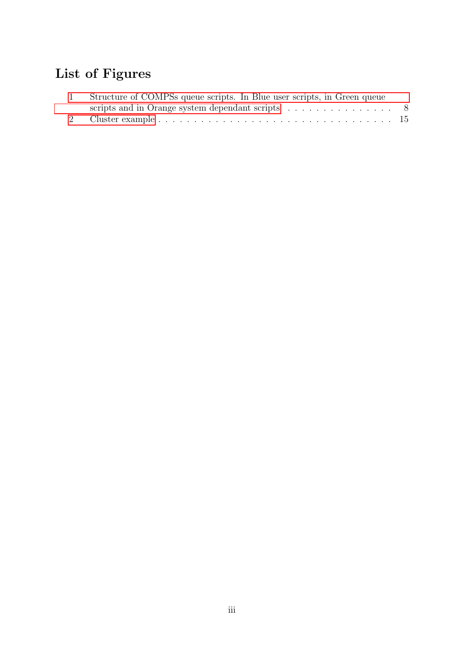## List of Figures

| Structure of COMPSs queue scripts. In Blue user scripts, in Green queue      |  |
|------------------------------------------------------------------------------|--|
| scripts and in Orange system dependant scripts $\ldots \ldots \ldots \ldots$ |  |
|                                                                              |  |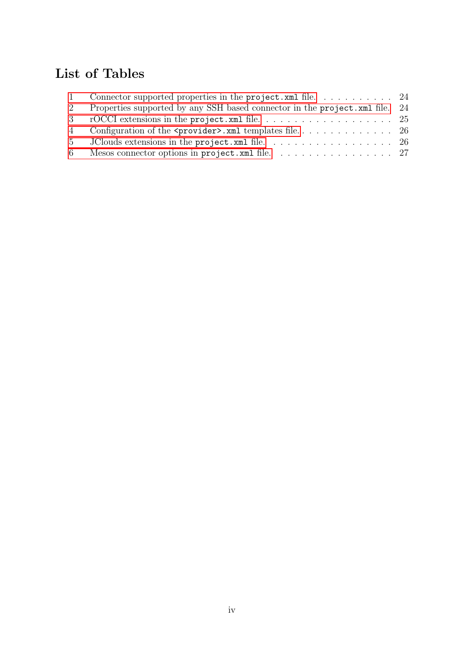## List of Tables

| $\mathbf{1}$   |                                                                                             |  |
|----------------|---------------------------------------------------------------------------------------------|--|
| 2              | Properties supported by any SSH based connector in the project. xml file. 24                |  |
|                |                                                                                             |  |
|                |                                                                                             |  |
| 5 <sup>5</sup> | JClouds extensions in the project. xml file. $\ldots \ldots \ldots \ldots \ldots \ldots$ 26 |  |
|                | 6 Mesos connector options in project. xml file. 27                                          |  |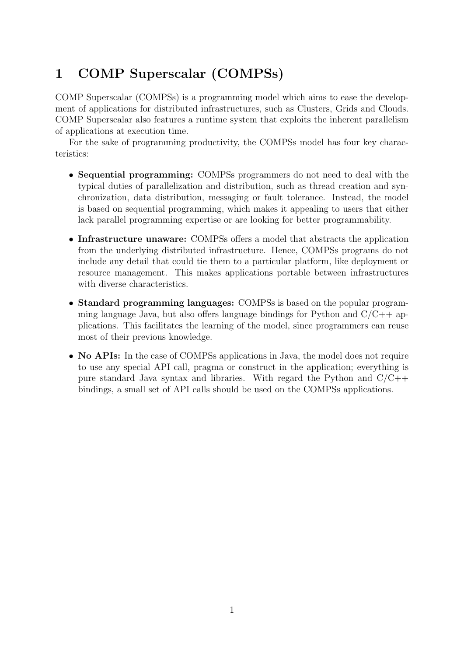## <span id="page-5-0"></span>1 COMP Superscalar (COMPSs)

COMP Superscalar (COMPSs) is a programming model which aims to ease the development of applications for distributed infrastructures, such as Clusters, Grids and Clouds. COMP Superscalar also features a runtime system that exploits the inherent parallelism of applications at execution time.

For the sake of programming productivity, the COMPSs model has four key characteristics:

- Sequential programming: COMPSs programmers do not need to deal with the typical duties of parallelization and distribution, such as thread creation and synchronization, data distribution, messaging or fault tolerance. Instead, the model is based on sequential programming, which makes it appealing to users that either lack parallel programming expertise or are looking for better programmability.
- Infrastructure unaware: COMPSs offers a model that abstracts the application from the underlying distributed infrastructure. Hence, COMPSs programs do not include any detail that could tie them to a particular platform, like deployment or resource management. This makes applications portable between infrastructures with diverse characteristics.
- Standard programming languages: COMPSs is based on the popular programming language Java, but also offers language bindings for Python and  $C/C++$  applications. This facilitates the learning of the model, since programmers can reuse most of their previous knowledge.
- <span id="page-5-1"></span>• No APIs: In the case of COMPSs applications in Java, the model does not require to use any special API call, pragma or construct in the application; everything is pure standard Java syntax and libraries. With regard the Python and  $C/C++$ bindings, a small set of API calls should be used on the COMPSs applications.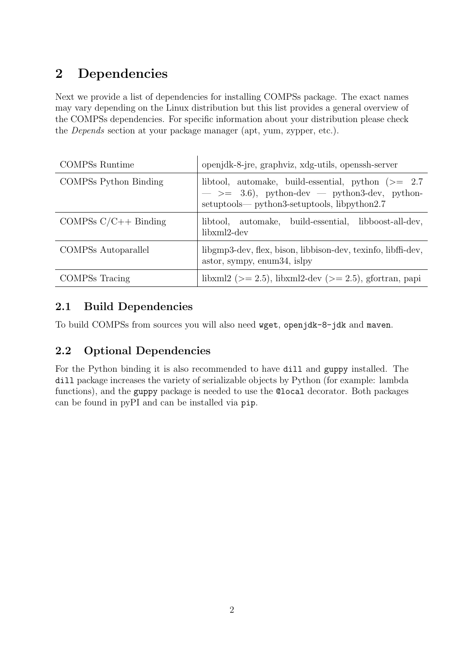## 2 Dependencies

Next we provide a list of dependencies for installing COMPSs package. The exact names may vary depending on the Linux distribution but this list provides a general overview of the COMPSs dependencies. For specific information about your distribution please check the Depends section at your package manager (apt, yum, zypper, etc.).

| <b>COMPSs Runtime</b>        | openjdk-8-jre, graphviz, xdg-utils, openssh-server                                                                                                          |
|------------------------------|-------------------------------------------------------------------------------------------------------------------------------------------------------------|
| <b>COMPSs Python Binding</b> | libtool, automake, build-essential, python $(>= 2.7)$<br>$\implies$ 3.6), python-dev — python3-dev, python-<br>setuptools— python3-setuptools, libpython2.7 |
| COMPSs $C/C++$ Binding       | libtool, automake, build-essential, libboost-all-dev,<br>libxml2-dev                                                                                        |
| COMPSs Autoparallel          | libgmp3-dev, flex, bison, libbison-dev, texinfo, libffi-dev,<br>astor, sympy, enum34, islpy                                                                 |
| COMPSs Tracing               | libxml2 ( $> = 2.5$ ), libxml2-dev ( $> = 2.5$ ), gfortran, papi                                                                                            |

### <span id="page-6-0"></span>2.1 Build Dependencies

<span id="page-6-1"></span>To build COMPSs from sources you will also need wget, openjdk-8-jdk and maven.

### 2.2 Optional Dependencies

<span id="page-6-2"></span>For the Python binding it is also recommended to have dill and guppy installed. The dill package increases the variety of serializable objects by Python (for example: lambda functions), and the guppy package is needed to use the @local decorator. Both packages can be found in pyPI and can be installed via pip.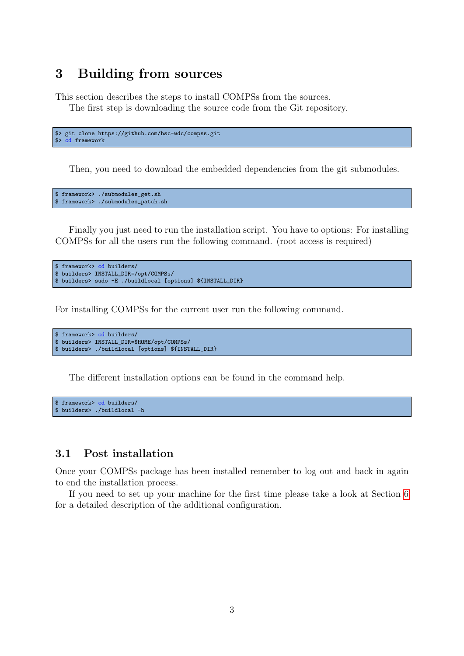### 3 Building from sources

This section describes the steps to install COMPSs from the sources.

The first step is downloading the source code from the Git repository.

```
$> git clone https://github.com/bsc-wdc/compss.git
$> cd framework
```
Then, you need to download the embedded dependencies from the git submodules.

```
$ framework> ./submodules_get.sh
$ framework> ./submodules_patch.sh
```
Finally you just need to run the installation script. You have to options: For installing COMPSs for all the users run the following command. (root access is required)

```
$ framework> cd builders/
$ builders> INSTALL_DIR=/opt/COMPSs/
$ builders> sudo -E ./buildlocal [options] ${INSTALL_DIR}
```
For installing COMPSs for the current user run the following command.

```
$ framework> cd builders/
$ builders> INSTALL_DIR=$HOME/opt/COMPSs/
$ builders> ./buildlocal [options] ${INSTALL_DIR}
```
The different installation options can be found in the command help.

```
$ framework> cd builders/
$ builders> ./buildlocal -h
```
#### <span id="page-7-0"></span>3.1 Post installation

Once your COMPSs package has been installed remember to log out and back in again to end the installation process.

<span id="page-7-1"></span>If you need to set up your machine for the first time please take a look at Section [6](#page-17-0) for a detailed description of the additional configuration.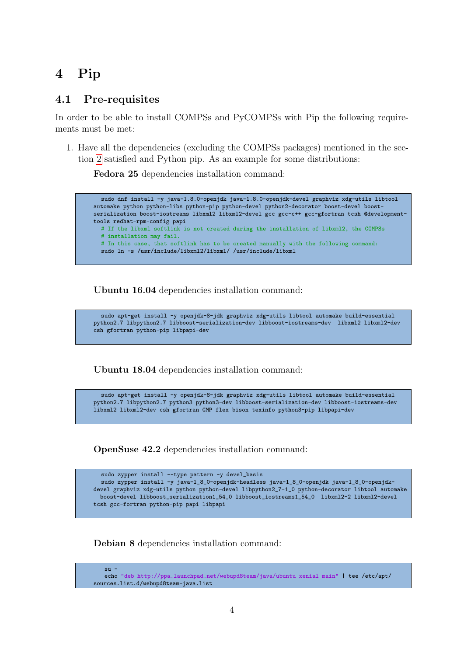## 4 Pip

#### <span id="page-8-0"></span>4.1 Pre-requisites

In order to be able to install COMPSs and PyCOMPSs with Pip the following requirements must be met:

1. Have all the dependencies (excluding the COMPSs packages) mentioned in the section [2](#page-5-1) satisfied and Python pip. As an example for some distributions:

Fedora 25 dependencies installation command:

sudo dnf install -y java-1.8.0-openjdk java-1.8.0-openjdk-devel graphviz xdg-utils libtool automake python python-libs python-pip python-devel python2-decorator boost-devel boostserialization boost-iostreams libxml2 libxml2-devel gcc gcc-c++ gcc-gfortran tcsh @developmenttools redhat-rpm-config papi # If the libxml softlink is not created during the installation of libxml2, the COMPSs # installation may fail. # In this case, that softlink has to be created manually with the following command: sudo ln -s /usr/include/libxml2/libxml/ /usr/include/libxml

Ubuntu 16.04 dependencies installation command:

```
sudo apt-get install -y openjdk-8-jdk graphviz xdg-utils libtool automake build-essential
python2.7 libpython2.7 libboost-serialization-dev libboost-iostreams-dev libxml2 libxml2-dev
csh gfortran python-pip libpapi-dev
```
Ubuntu 18.04 dependencies installation command:

sudo apt-get install -y openjdk-8-jdk graphviz xdg-utils libtool automake build-essential python2.7 libpython2.7 python3 python3-dev libboost-serialization-dev libboost-iostreams-dev libxml2 libxml2-dev csh gfortran GMP flex bison texinfo python3-pip libpapi-dev

OpenSuse 42.2 dependencies installation command:

```
sudo zypper install --type pattern -y devel_basis
  sudo zypper install -y java-1_8_0-openjdk-headless java-1_8_0-openjdk java-1_8_0-openjdk-
devel graphviz xdg-utils python python-devel libpython2_7-1_0 python-decorator libtool automake
 boost-devel libboost_serialization1_54_0 libboost_iostreams1_54_0 libxml2-2 libxml2-devel
tcsh gcc-fortran python-pip papi libpapi
```
Debian 8 dependencies installation command:

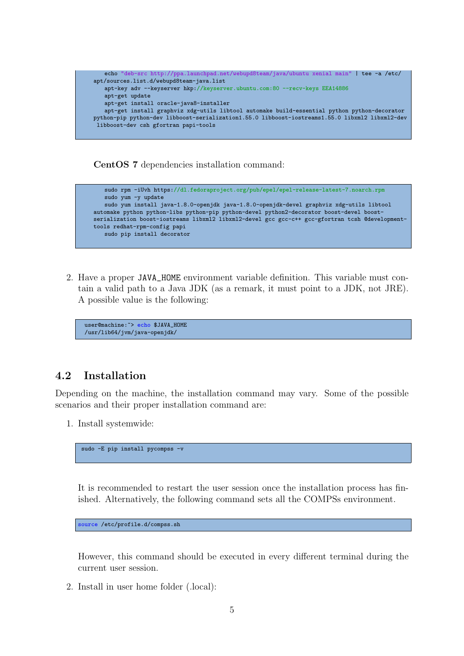

CentOS 7 dependencies installation command:



2. Have a proper JAVA\_HOME environment variable definition. This variable must contain a valid path to a Java JDK (as a remark, it must point to a JDK, not JRE). A possible value is the following:

user@machine:~> echo \$JAVA\_HOME /usr/lib64/jvm/java-openjdk/

#### <span id="page-9-0"></span>4.2 Installation

Depending on the machine, the installation command may vary. Some of the possible scenarios and their proper installation command are:

1. Install systemwide:

sudo -E pip install pycompss -v

It is recommended to restart the user session once the installation process has finished. Alternatively, the following command sets all the COMPSs environment.

source /etc/profile.d/compss.sh

However, this command should be executed in every different terminal during the current user session.

2. Install in user home folder (.local):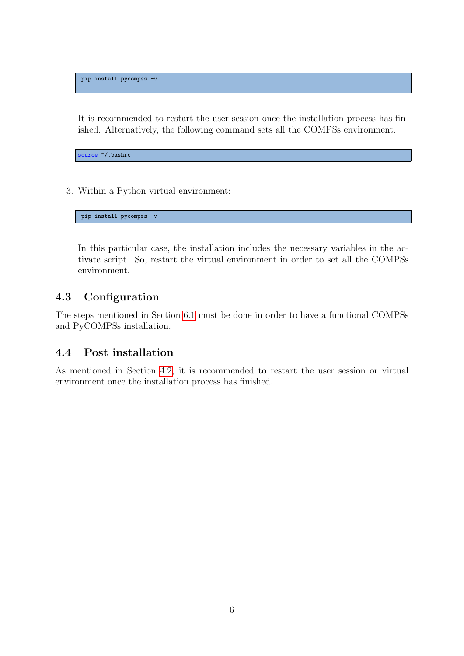pip install pycompss -v

It is recommended to restart the user session once the installation process has finished. Alternatively, the following command sets all the COMPSs environment.

source  $\tilde{ }$ /.bashrc

3. Within a Python virtual environment:

pip install pycompss -v

In this particular case, the installation includes the necessary variables in the activate script. So, restart the virtual environment in order to set all the COMPSs environment.

#### <span id="page-10-0"></span>4.3 Configuration

The steps mentioned in Section [6.1](#page-18-0) must be done in order to have a functional COMPSs and PyCOMPSs installation.

#### <span id="page-10-1"></span>4.4 Post installation

<span id="page-10-2"></span>As mentioned in Section [4.2,](#page-9-0) it is recommended to restart the user session or virtual environment once the installation process has finished.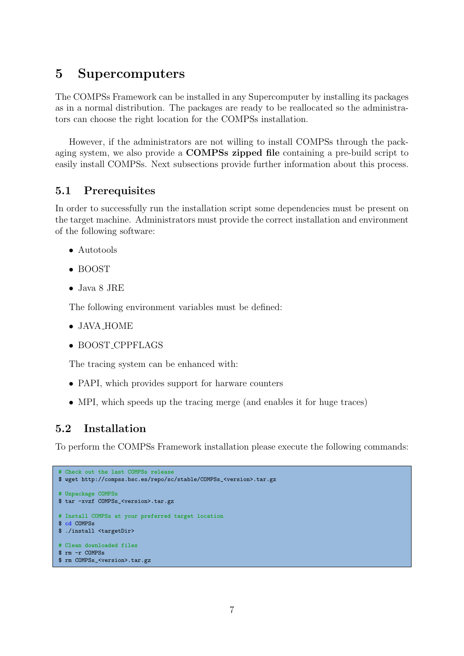### 5 Supercomputers

The COMPSs Framework can be installed in any Supercomputer by installing its packages as in a normal distribution. The packages are ready to be reallocated so the administrators can choose the right location for the COMPSs installation.

However, if the administrators are not willing to install COMPSs through the packaging system, we also provide a COMPSs zipped file containing a pre-build script to easily install COMPSs. Next subsections provide further information about this process.

#### <span id="page-11-0"></span>5.1 Prerequisites

In order to successfully run the installation script some dependencies must be present on the target machine. Administrators must provide the correct installation and environment of the following software:

- Autotools
- BOOST
- Java 8 JRE

The following environment variables must be defined:

- JAVA\_HOME
- BOOST CPPFLAGS

The tracing system can be enhanced with:

- PAPI, which provides support for harware counters
- MPI, which speeds up the tracing merge (and enables it for huge traces)

#### <span id="page-11-1"></span>5.2 Installation

To perform the COMPSs Framework installation please execute the following commands:

```
# Check out the last COMPSs release
$ wget http://compss.bsc.es/repo/sc/stable/COMPSs_<version>.tar.gz
# Unpackage COMPSs
$ tar -xvzf COMPSs <version>.tar.gz
# Install COMPSs at your preferred target location
$ cd COMPSs
$ ./install <targetDir>
# Clean downloaded files
$ rm -r COMPSs
$ rm COMPSs_<version>.tar.gz
```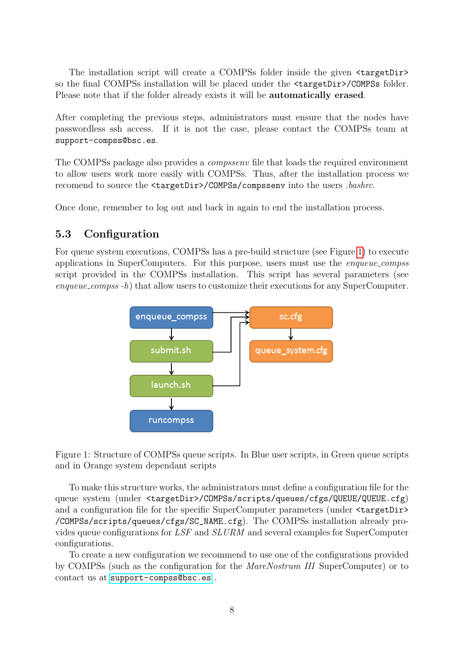The installation script will create a COMPSs folder inside the given  $\langle$ targetDir> so the final COMPSs installation will be placed under the  $\langle \texttt{targetDir}\rangle/\texttt{COMPSs}$  folder. Please note that if the folder already exists it will be automatically erased.

After completing the previous steps, administrators must ensure that the nodes have passwordless ssh access. If it is not the case, please contact the COMPSs team at support-compss@bsc.es.

The COMPSs package also provides a *compssenv* file that loads the required environment to allow users work more easily with COMPSs. Thus, after the installation process we recomend to source the <targetDir>/COMPSs/compssenv into the users .bashrc.

<span id="page-12-0"></span>Once done, remember to log out and back in again to end the installation process.

#### 5.3 Configuration

For queue system executions, COMPSs has a pre-build structure (see Figure [1\)](#page-12-2) to execute applications in SuperComputers. For this purpose, users must use the enqueue compss script provided in the COMPSs installation. This script has several parameters (see enqueue\_compss -h) that allow users to customize their executions for any SuperComputer.



<span id="page-12-2"></span>Figure 1: Structure of COMPSs queue scripts. In Blue user scripts, in Green queue scripts and in Orange system dependant scripts

To make this structure works, the administrators must define a configuration file for the queue system (under <targetDir>/COMPSs/scripts/queues/cfgs/QUEUE/QUEUE.cfg) and a configuration file for the specific SuperComputer parameters (under  $\langle \text{targetDir} \rangle$ /COMPSs/scripts/queues/cfgs/SC\_NAME.cfg). The COMPSs installation already provides queue configurations for LSF and SLURM and several examples for SuperComputer configurations.

<span id="page-12-1"></span>To create a new configuration we recommend to use one of the configurations provided by COMPSs (such as the configuration for the MareNostrum III SuperComputer) or to contact us at <support-compss@bsc.es> .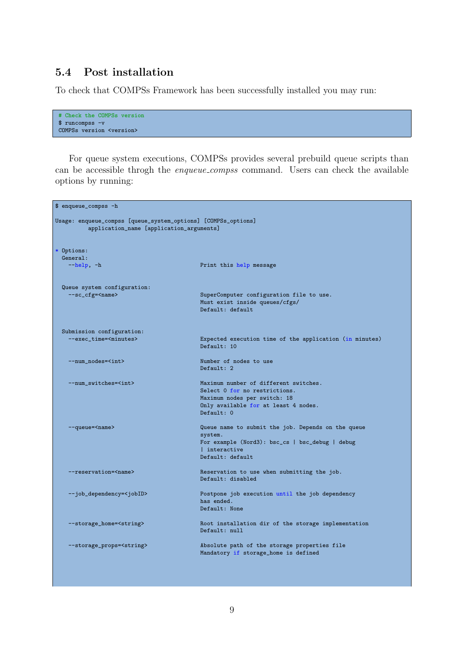#### 5.4 Post installation

To check that COMPSs Framework has been successfully installed you may run:

```
# Check the COMPSs version
$ runcompss -v
COMPSs version <version>
```
For queue system executions, COMPSs provides several prebuild queue scripts than can be accessible throgh the enqueue compss command. Users can check the available options by running:

```
$ enqueue_compss -h
Usage: enqueue_compss [queue_system_options] [COMPSs_options]
         application_name [application_arguments]
* Options:
 General:<br>--help. -h
                                        Print this help message
 Queue system configuration:<br>--sc_cfg=<name>
                                        SuperComputer configuration file to use.
                                        Must exist inside queues/cfgs/
                                        Default: default
 Submission configuration:
    --exec_time=<minutes> Expected execution time of the application (in minutes)
                                        Default: 10
   --num_nodes=<int> Number of nodes to use
                                        Default: 2--num switches=<int> Maximum number of different switches.
                                        Select 0 for no restrictions.
                                        Maximum nodes per switch: 18
                                        Only available for at least 4 nodes.
                                        Default: 0
   --queue=<name> Queue name to submit the job. Depends on the queue
                                        system.
                                        For example (Nord3): bsc_cs | bsc_debug | debug
                                        | interactive
                                        Default: default
   -reservation=<name> Reservation to use when submitting the job.
                                        Default: disabled
   --job_dependency=<jobID> Postpone job execution until the job dependency
                                        has ended.
                                        Default: None
   --storage_home=<string> Root installation dir of the storage implementation
                                        Default: null
   --storage_props=<string> Absolute path of the storage properties file
                                        Mandatory if storage_home is defined
```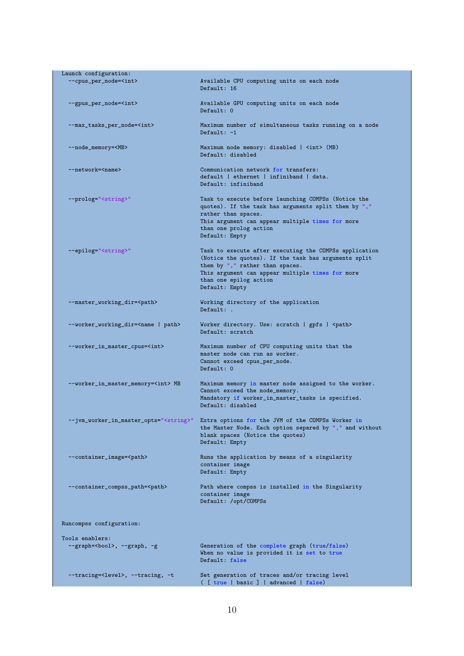| Launch configuration:                                  |                                                                                                                                                                                                                                                   |
|--------------------------------------------------------|---------------------------------------------------------------------------------------------------------------------------------------------------------------------------------------------------------------------------------------------------|
| --cpus_per_node= <int></int>                           | Available CPU computing units on each node<br>Default: 16                                                                                                                                                                                         |
| --gpus_per_node= <int></int>                           | Available GPU computing units on each node<br>Default: 0                                                                                                                                                                                          |
| --max_tasks_per_node= <int></int>                      | Maximum number of simultaneous tasks running on a node<br>Default: $-1$                                                                                                                                                                           |
| --node_memory= <mb></mb>                               | Maximum node memory: disabled   <int> (MB)<br/>Default: disabled</int>                                                                                                                                                                            |
| --network= <name></name>                               | Communication network for transfers:<br>default   ethernet   infiniband   data.<br>Default: infiniband                                                                                                                                            |
| --prolog=" <string>"</string>                          | Task to execute before launching COMPSs (Notice the<br>quotes). If the task has arguments split them by ","<br>rather than spaces.<br>This argument can appear multiple times for more<br>than one prolog action<br>Default: Empty                |
| --epilog=" <string>"</string>                          | Task to execute after executing the COMPSs application<br>(Notice the quotes). If the task has arguments split<br>them by "," rather than spaces.<br>This argument can appear multiple times for more<br>than one epilog action<br>Default: Empty |
| --master_working_dir= <path></path>                    | Working directory of the application<br>Default: .                                                                                                                                                                                                |
| --worker_working_dir= <name path=""  =""></name>       | Worker directory. Use: scratch   gpfs   <path><br/>Default: scratch</path>                                                                                                                                                                        |
| --worker_in_master_cpus= <int></int>                   | Maximum number of CPU computing units that the<br>master node can run as worker.<br>Cannot exceed cpus_per_node.<br>Default: 0                                                                                                                    |
| --worker_in_master_memory= <int> MB</int>              | Maximum memory in master node assigned to the worker.<br>Cannot exceed the node_memory.<br>Mandatory if worker_in_master_tasks is specified.<br>Default: disabled                                                                                 |
|                                                        | --jvm_worker_in_master_opts=" <string>" Extra options for the JVM of the COMPSs Worker in<br/>the Master Node. Each option separed by "," and without<br/>blank spaces (Notice the quotes)<br/>Default: Empty</string>                            |
| --container_image= <path></path>                       | Runs the application by means of a singularity<br>container image<br>Default: Empty                                                                                                                                                               |
| --container_compss_path= <path></path>                 | Path where compss is installed in the Singularity<br>container image<br>Default: /opt/COMPSs                                                                                                                                                      |
| Runcompss configuration:                               |                                                                                                                                                                                                                                                   |
| Tools enablers:<br>--graph= <bool>, --graph, -g</bool> | Generation of the complete graph (true/false)<br>When no value is provided it is set to true<br>Default: false                                                                                                                                    |
| --tracing= <level>, --tracing, -t</level>              | Set generation of traces and/or tracing level<br>( [ true   basic ]   advanced   false)                                                                                                                                                           |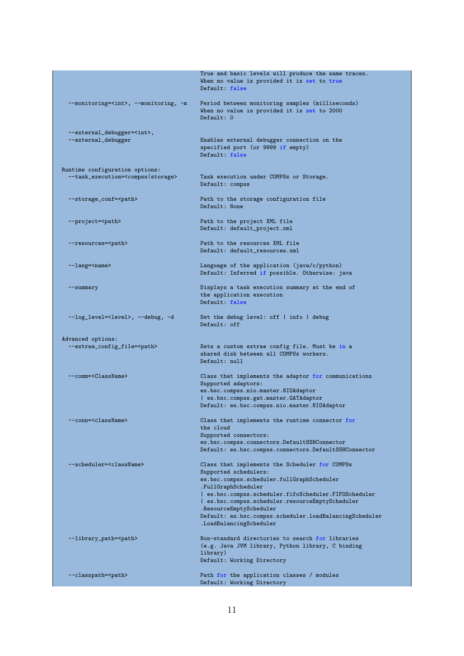|                                                                                       | True and basic levels will produce the same traces.<br>When no value is provided it is set to true<br>Default: false |
|---------------------------------------------------------------------------------------|----------------------------------------------------------------------------------------------------------------------|
| --monitoring= <int>, --monitoring, -m</int>                                           | Period between monitoring samples (milliseconds)<br>When no value is provided it is set to 2000<br>Default: 0        |
|                                                                                       |                                                                                                                      |
| --external_debugger= <int>,<br/>--external_debugger</int>                             | Enables external debugger connection on the<br>specified port (or 9999 if empty)<br>Default: false                   |
| Runtime configuration options:<br>--task_execution= <compss storage></compss storage> | Task execution under COMPSs or Storage.<br>Default: compss                                                           |
| --storage_conf= <path></path>                                                         | Path to the storage configuration file<br>Default: None                                                              |
| --project= <path></path>                                                              | Path to the project XML file<br>Default: default_project.xml                                                         |
| --resources= <path></path>                                                            | Path to the resources XML file                                                                                       |
|                                                                                       | Default: default_resources.xml                                                                                       |
| --lang= <name></name>                                                                 | Language of the application (java/c/python)                                                                          |
|                                                                                       | Default: Inferred if possible. Otherwise: java                                                                       |
| --summary                                                                             | Displays a task execution summary at the end of                                                                      |
|                                                                                       | the application execution<br>Default: false                                                                          |
| --log_level= <level>, --debug, -d</level>                                             | Set the debug level: off $ $ info $ $ debug<br>Default: off                                                          |
| Advanced options:                                                                     |                                                                                                                      |
| --extrae_config_file= <path></path>                                                   | Sets a custom extrae config file. Must be in a                                                                       |
|                                                                                       | shared disk between all COMPSs workers.                                                                              |
|                                                                                       | Default: null                                                                                                        |
| --comm= <classname></classname>                                                       | Class that implements the adaptor for communications                                                                 |
|                                                                                       | Supported adaptors:                                                                                                  |
|                                                                                       | es.bsc.compss.nio.master.NIOAdaptor                                                                                  |
|                                                                                       | es.bsc.compss.gat.master.GATAdaptor<br>Default: es.bsc.compss.nio.master.NIOAdaptor                                  |
| --conn= <classname></classname>                                                       | Class that implements the runtime connector for<br>the cloud                                                         |
|                                                                                       | Supported connectors:                                                                                                |
|                                                                                       | es.bsc.compss.connectors.DefaultSSHConnector                                                                         |
|                                                                                       | Default: es.bsc.compss.connectors.DefaultSSHConnector                                                                |
| --scheduler= <classname></classname>                                                  | Class that implements the Scheduler for COMPSs<br>Supported schedulers:                                              |
|                                                                                       | es.bsc.compss.scheduler.fullGraphScheduler<br>.FullGraphScheduler                                                    |
|                                                                                       | es.bsc.compss.scheduler.fifoScheduler.FIFOScheduler<br>  es.bsc.compss.scheduler.resourceEmptyScheduler              |
|                                                                                       | .ResourceEmptyScheduler<br>Default: es.bsc.compss.scheduler.loadBalancingScheduler<br>.LoadBalancingScheduler        |
| --library_path= <path></path>                                                         | Non-standard directories to search for libraries<br>(e.g. Java JVM library, Python library, C binding                |
|                                                                                       | library)<br>Default: Working Directory                                                                               |
|                                                                                       |                                                                                                                      |
| --classpath= <path></path>                                                            | Path for the application classes / modules<br>Default: Working Directory                                             |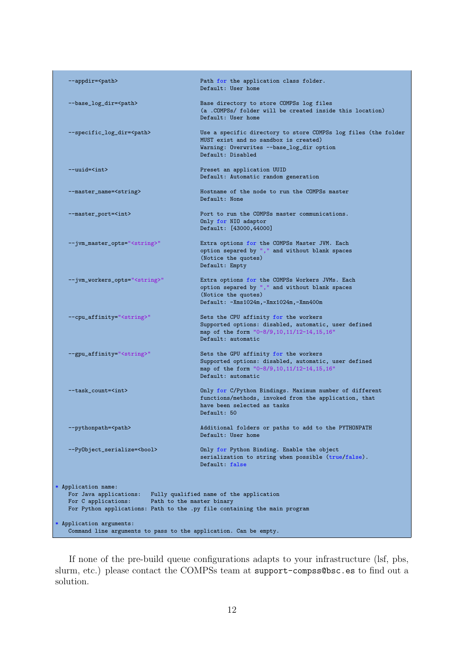| --appdir= <path></path>                                                                      | Path for the application class folder.<br>Default: User home                                                                                                              |
|----------------------------------------------------------------------------------------------|---------------------------------------------------------------------------------------------------------------------------------------------------------------------------|
| --base_log_dir= <path></path>                                                                | Base directory to store COMPSs log files<br>(a .COMPSs/ folder will be created inside this location)<br>Default: User home                                                |
| --specific_log_dir= <path></path>                                                            | Use a specific directory to store COMPSs log files (the folder<br>MUST exist and no sandbox is created)<br>Warning: Overwrites --base_log_dir option<br>Default: Disabled |
| $--$ uuid= $\langle$ int>                                                                    | Preset an application UUID<br>Default: Automatic random generation                                                                                                        |
| --master_name= <string></string>                                                             | Hostname of the node to run the COMPSs master<br>Default: None                                                                                                            |
| --master_port= <int></int>                                                                   | Port to run the COMPSs master communications.<br>Only for NIO adaptor<br>Default: [43000,44000]                                                                           |
| --jvm_master_opts=" <string>"</string>                                                       | Extra options for the COMPSs Master JVM. Each<br>option separed by "," and without blank spaces<br>(Notice the quotes)<br>Default: Empty                                  |
| --jvm_workers_opts=" <string>"</string>                                                      | Extra options for the COMPSs Workers JVMs. Each<br>option separed by "," and without blank spaces<br>(Notice the quotes)<br>Default: $-Xms1024m, -Xmx1024m, -Xmn400m$     |
| --cpu_affinity=" <string>"</string>                                                          | Sets the CPU affinity for the workers<br>Supported options: disabled, automatic, user defined<br>map of the form "0-8/9,10,11/12-14,15,16"<br>Default: automatic          |
| --gpu_affinity=" <string>"</string>                                                          | Sets the GPU affinity for the workers<br>Supported options: disabled, automatic, user defined<br>map of the form "0-8/9,10,11/12-14,15,16"<br>Default: automatic          |
| --task_count= <int></int>                                                                    | Only for C/Python Bindings. Maximum number of different<br>functions/methods, invoked from the application, that<br>have been selected as tasks<br>Default: 50            |
| --pythonpath= <path></path>                                                                  | Additional folders or paths to add to the PYTHONPATH<br>Default: User home                                                                                                |
| --PyObject_serialize= <bool></bool>                                                          | Only for Python Binding. Enable the object<br>serialization to string when possible (true/false).<br>Default: false                                                       |
| * Application name:<br>For Java applications:<br>For C applications:                         | Fully qualified name of the application<br>Path to the master binary<br>For Python applications: Path to the .py file containing the main program                         |
| * Application arguments:<br>Command line arguments to pass to the application. Can be empty. |                                                                                                                                                                           |

If none of the pre-build queue configurations adapts to your infrastructure (lsf, pbs, slurm, etc.) please contact the COMPSs team at support-compss@bsc.es to find out a solution.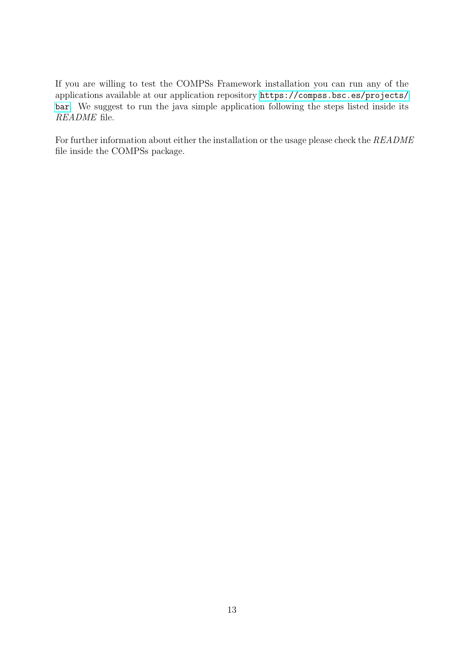If you are willing to test the COMPSs Framework installation you can run any of the applications available at our application repository [https://compss.bsc.es/projects/](https://compss.bsc.es/projects/bar) [bar](https://compss.bsc.es/projects/bar). We suggest to run the java simple application following the steps listed inside its README file.

<span id="page-17-0"></span>For further information about either the installation or the usage please check the README file inside the COMPSs package.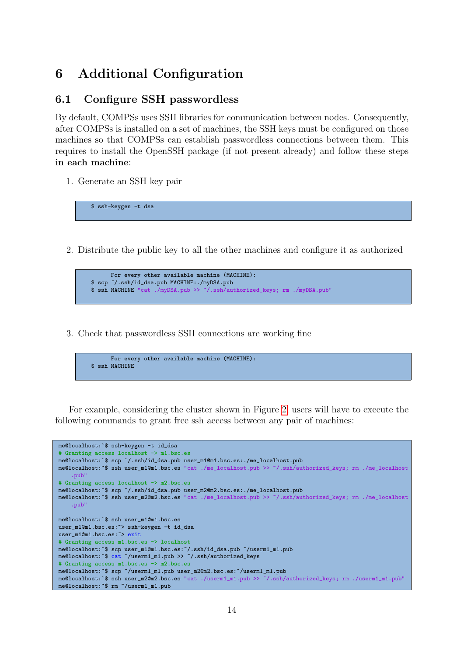## 6 Additional Configuration

#### <span id="page-18-0"></span>6.1 Configure SSH passwordless

By default, COMPSs uses SSH libraries for communication between nodes. Consequently, after COMPSs is installed on a set of machines, the SSH keys must be configured on those machines so that COMPSs can establish passwordless connections between them. This requires to install the OpenSSH package (if not present already) and follow these steps in each machine:

1. Generate an SSH key pair

\$ ssh-keygen -t dsa

2. Distribute the public key to all the other machines and configure it as authorized

```
For every other available machine (MACHINE):
$ scp ~/.ssh/id_dsa.pub MACHINE:./myDSA.pub
$ ssh MACHINE "cat ./myDSA.pub >> ~/.ssh/authorized_keys; rm ./myDSA.pub"
```
3. Check that passwordless SSH connections are working fine

```
For every other available machine (MACHINE):
$ ssh MACHINE
```
For example, considering the cluster shown in Figure [2,](#page-19-3) users will have to execute the following commands to grant free ssh access between any pair of machines:

```
me@localhost:~$ ssh-keygen -t id_dsa
# Granting access localhost -> m1.bsc.es
me@localhost:~$ scp ~/.ssh/id_dsa.pub user_m1@m1.bsc.es:./me_localhost.pub
me@localhost:~$ ssh user_m1@m1.bsc.es "cat ./me_localhost.pub >> ~/.ssh/authorized_keys; rm ./me_localhost
    .pub"
# Granting access localhost -> m2.bsc.es
me@localhost:~$ scp ~/.ssh/id_dsa.pub user_m2@m2.bsc.es:./me_localhost.pub
me@localhost:~$ ssh user_m2@m2.bsc.es "cat ./me_localhost.pub >> ~/.ssh/authorized_keys; rm ./me_localhost
    .pub"
me@localhost:~$ ssh user_m1@m1.bsc.es
user_m1@m1.bsc.es:<sup>~</sup>> ssh-keygen -t id_dsa
user_m1@m1.bsc.es:~> exit
# Granting access m1.bsc.es -> localhost
me@localhost:~$ scp user_m1@m1.bsc.es:~/.ssh/id_dsa.pub ~/userm1_m1.pub
me@localhost:~$ cat ~/userm1_m1.pub >> ~/.ssh/authorized_keys
# Granting access m1.bsc.es -> m2.bsc.es
me@localhost:~$ scp ~/userm1_m1.pub user_m2@m2.bsc.es:~/userm1_m1.pub
me@localhost:~$ ssh user_m2@m2.bsc.es "cat ./userm1_m1.pub >> ~/.ssh/authorized_keys; rm ./userm1_m1.pub"
me@localhost:~$ rm ~/userm1_m1.pub
```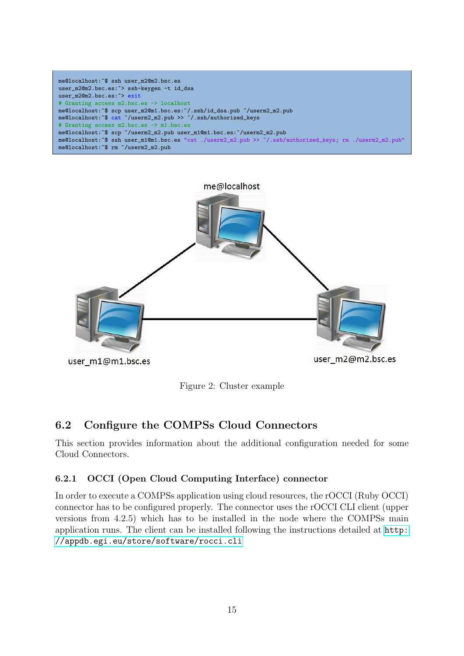```
me@localhost:~$ ssh user_m2@m2.bsc.es
user_m2@m2.bsc.es:~> ssh-keygen -t id_dsa
user_m2@m2.bsc.es:<sup>~></sup> exit
# Granting access m2.bsc.es -> localhost
me@localhost:~$ scp user_m2@m1.bsc.es:~/.ssh/id_dsa.pub ~/userm2_m2.pub
me@localhost:~$ cat ~/userm2_m2.pub >> ~/.ssh/authorized_keys
# Granting access m2.bsc.es -> m1.bsc.es
me@localhost:~$ scp ~/userm2_m2.pub user_m1@m1.bsc.es:~/userm2_m2.pub
me@localhost:~$ ssh user_m1@m1.bsc.es "cat ./userm2_m2.pub >> ~/.ssh/authorized_keys; rm ./userm2_m2.pub"
me@localhost:~$ rm ~/userm2_m2.pub
```


<span id="page-19-3"></span>Figure 2: Cluster example

### <span id="page-19-0"></span>6.2 Configure the COMPSs Cloud Connectors

This section provides information about the additional configuration needed for some Cloud Connectors.

#### <span id="page-19-1"></span>6.2.1 OCCI (Open Cloud Computing Interface) connector

<span id="page-19-2"></span>In order to execute a COMPSs application using cloud resources, the rOCCI (Ruby OCCI) connector has to be configured properly. The connector uses the rOCCI CLI client (upper versions from 4.2.5) which has to be installed in the node where the COMPSs main application runs. The client can be installed following the instructions detailed at [http:](http://appdb.egi.eu/store/software/rocci.cli) [//appdb.egi.eu/store/software/rocci.cli](http://appdb.egi.eu/store/software/rocci.cli)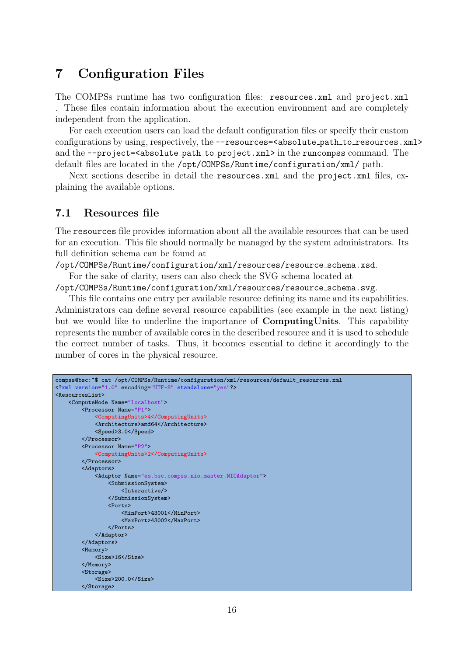### 7 Configuration Files

The COMPSs runtime has two configuration files: resources.xml and project.xml . These files contain information about the execution environment and are completely independent from the application.

For each execution users can load the default configuration files or specify their custom configurations by using, respectively, the --resources=<absolute\_path\_to\_resources.xml> and the --project=<absolute\_path\_to\_project.xml> in the runcompss command. The default files are located in the /opt/COMPSs/Runtime/configuration/xml/ path.

Next sections describe in detail the resources.xml and the project.xml files, explaining the available options.

#### <span id="page-20-0"></span>7.1 Resources file

The resources file provides information about all the available resources that can be used for an execution. This file should normally be managed by the system administrators. Its full definition schema can be found at

/opt/COMPSs/Runtime/configuration/xml/resources/resource schema.xsd.

For the sake of clarity, users can also check the SVG schema located at

/opt/COMPSs/Runtime/configuration/xml/resources/resource schema.svg.

This file contains one entry per available resource defining its name and its capabilities. Administrators can define several resource capabilities (see example in the next listing) but we would like to underline the importance of ComputingUnits. This capability represents the number of available cores in the described resource and it is used to schedule the correct number of tasks. Thus, it becomes essential to define it accordingly to the number of cores in the physical resource.

```
compss@bsc:~$ cat /opt/COMPSs/Runtime/configuration/xml/resources/default_resources.xml
<?xml version="1.0" encoding="UTF-8" standalone="yes"?>
<ResourcesList>
   <ComputeNode Name="localhost">
       <Processor Name="P1">
           <ComputingUnits>4</ComputingUnits>
           <Architecture>amd64</Architecture>
           <Speed>3.0</Speed>
       </Processor>
       <Processor Name="P2">
           <ComputingUnits>2</ComputingUnits>
       </Processor>
       <Adaptors>
            <Adaptor Name="es.bsc.compss.nio.master.NIOAdaptor">
               <SubmissionSystem>
                   <Interactive/>
               </SubmissionSystem>
                <Ports>
                    <MinPort>43001</MinPort>
                    <MaxPort>43002</MaxPort>
               </Ports>
           </Adaptor>
       </Adaptors>
       <Memory>
           <Size>16</Size>
       </Memory>
       <Storage>
           <Size>200.0</Size>
       </Storage>
```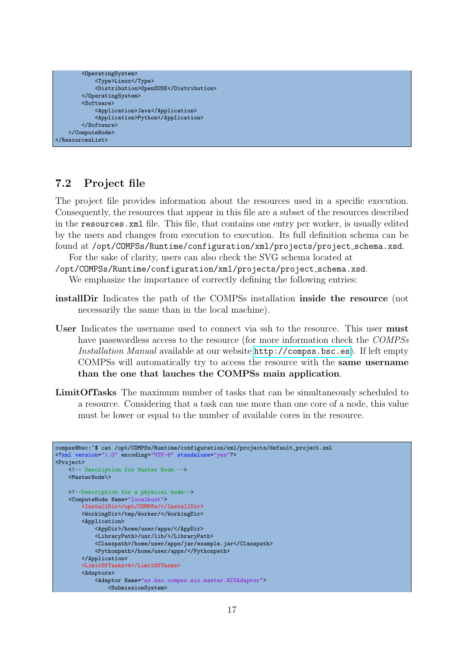```
<OperatingSystem>
           <Type>Linux</Type>
           <Distribution>OpenSUSE</Distribution>
       </OperatingSystem>
        <Software>
           <Application>Java</Application>
            <Application>Python</Application>
       </Software>
   </ComputeNode>
</ResourcesList>
```
#### <span id="page-21-0"></span>7.2 Project file

The project file provides information about the resources used in a specific execution. Consequently, the resources that appear in this file are a subset of the resources described in the resources.xml file. This file, that contains one entry per worker, is usually edited by the users and changes from execution to execution. Its full definition schema can be found at /opt/COMPSs/Runtime/configuration/xml/projects/project\_schema.xsd.

For the sake of clarity, users can also check the SVG schema located at

/opt/COMPSs/Runtime/configuration/xml/projects/project schema.xsd.

We emphasize the importance of correctly defining the following entries:

- installDir Indicates the path of the COMPSs installation inside the resource (not necessarily the same than in the local machine).
- User Indicates the username used to connect via ssh to the resource. This user must have passwordless access to the resource (for more information check the COMPSs Installation Manual available at our website <http://compss.bsc.es>). If left empty COMPSs will automatically try to access the resource with the same username than the one that lauches the COMPSs main application.
- LimitOfTasks The maximum number of tasks that can be simultaneously scheduled to a resource. Considering that a task can use more than one core of a node, this value must be lower or equal to the number of available cores in the resource.

```
compss@bsc:~$ cat /opt/COMPSs/Runtime/configuration/xml/projects/default_project.xml
<?xml version="1.0" encoding="UTF-8" standalone="yes"?>
<Project>
   <!-- Description for Master Node -->
   <MasterNode\>
   <!--Description for a physical node-->
   <ComputeNode Name="localhost">
        <InstallDir>/opt/COMPSs/</InstallDir>
        <WorkingDir>/tmp/Worker/</WorkingDir>
       <Application>
            <AppDir>/home/user/apps/</AppDir>
            <LibraryPath>/usr/lib/</LibraryPath>
            <Classpath>/home/user/apps/jar/example.jar</Classpath>
            <Pythonpath>/home/user/apps/</Pythonpath>
       </Application>
        <LimitOfTasks>4</LimitOfTasks>
        <Adaptors>
            <Adaptor Name="es.bsc.compss.nio.master.NIOAdaptor">
                <SubmissionSystem>
```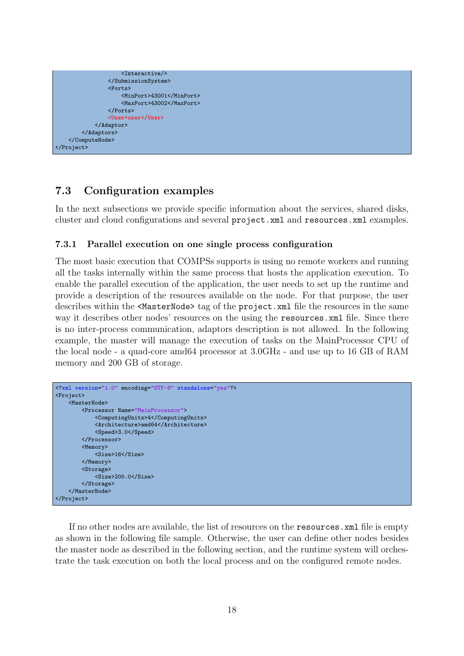```
<Interactive/>
                </SubmissionSystem>
                <Ports>
                    <MinPort>43001</MinPort>
                    <MaxPort>43002</MaxPort>
                </Ports>
                <User>user</User>
            </Adaptor>
        </Adaptors>
   </ComputeNode>
</Project>
```
#### <span id="page-22-0"></span>7.3 Configuration examples

In the next subsections we provide specific information about the services, shared disks, cluster and cloud configurations and several project.xml and resources.xml examples.

#### <span id="page-22-1"></span>7.3.1 Parallel execution on one single process configuration

The most basic execution that COMPSs supports is using no remote workers and running all the tasks internally within the same process that hosts the application execution. To enable the parallel execution of the application, the user needs to set up the runtime and provide a description of the resources available on the node. For that purpose, the user describes within the <MasterNode> tag of the project.xml file the resources in the same way it describes other nodes' resources on the using the resources.  $xml$  file. Since there is no inter-process communication, adaptors description is not allowed. In the following example, the master will manage the execution of tasks on the MainProcessor CPU of the local node - a quad-core amd64 processor at 3.0GHz - and use up to 16 GB of RAM memory and 200 GB of storage.

```
<?xml version="1.0" encoding="UTF-8" standalone="yes"?>
<Project>
   <MasterNode>
       <Processor Name="MainProcessor">
            <ComputingUnits>4</ComputingUnits>
            <Architecture>amd64</Architecture>
            <Speed>3.0</Speed>
        </Processor>
        <Memory>
           <Size>16</Size>
        </Memory>
        <Storage>
            <Size>200.0</Size>
        </Storage>
   </MasterNode>
</Project>
```
If no other nodes are available, the list of resources on the resources.xml file is empty as shown in the following file sample. Otherwise, the user can define other nodes besides the master node as described in the following section, and the runtime system will orchestrate the task execution on both the local process and on the configured remote nodes.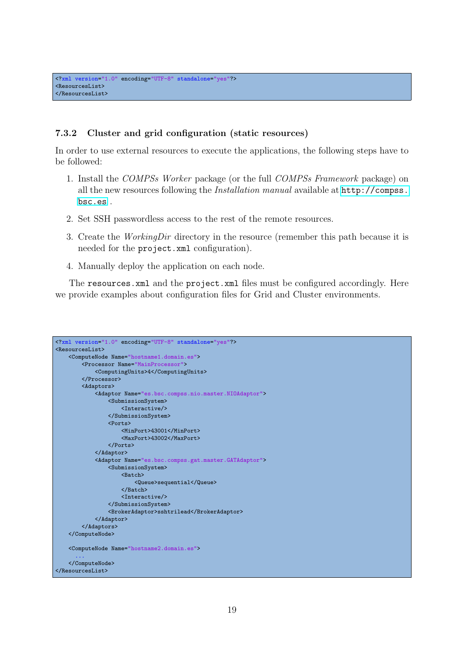#### <span id="page-23-0"></span>7.3.2 Cluster and grid configuration (static resources)

In order to use external resources to execute the applications, the following steps have to be followed:

- 1. Install the COMPSs Worker package (or the full COMPSs Framework package) on all the new resources following the Installation manual available at [http://compss.](http://compss.bsc.es) [bsc.es](http://compss.bsc.es) .
- 2. Set SSH passwordless access to the rest of the remote resources.
- 3. Create the WorkingDir directory in the resource (remember this path because it is needed for the project.xml configuration).
- 4. Manually deploy the application on each node.

The resources.xml and the project.xml files must be configured accordingly. Here we provide examples about configuration files for Grid and Cluster environments.

```
<?xml version="1.0" encoding="UTF-8" standalone="yes"?>
<ResourcesList>
    <ComputeNode Name="hostname1.domain.es">
       <Processor Name="MainProcessor">
            <ComputingUnits>4</ComputingUnits>
        </Processor>
        <Adaptors>
            <Adaptor Name="es.bsc.compss.nio.master.NIOAdaptor">
                <SubmissionSystem>
                    <Interactive/>
                </SubmissionSystem>
                <Ports>
                    <MinPort>43001</MinPort>
                    <MaxPort>43002</MaxPort>
                </Ports>
            </Adaptor>
            <Adaptor Name="es.bsc.compss.gat.master.GATAdaptor">
                <SubmissionSystem>
                    <Batch>
                        <Queue>sequential</Queue>
                    </Batch>
                    <Interactive/>
                </SubmissionSystem>
                <BrokerAdaptor>sshtrilead</BrokerAdaptor>
            </Adaptor>
        </Adaptors>
    </ComputeNode>
    <ComputeNode Name="hostname2.domain.es">
      ...
    </ComputeNode>
</ResourcesList>
```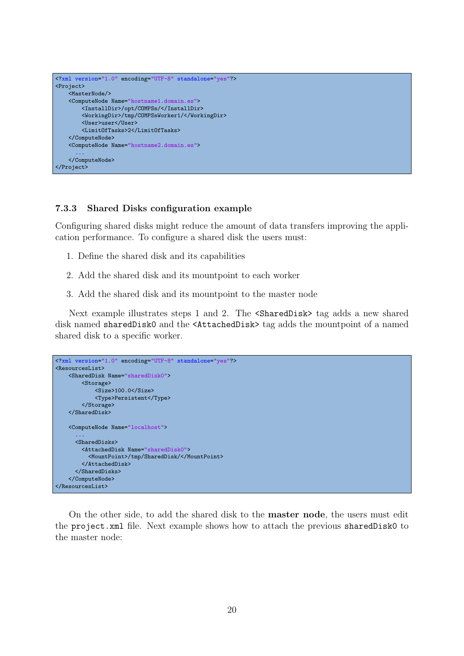```
<?xml version="1.0" encoding="UTF-8" standalone="yes"?>
<Project>
   <MasterNode/>
   <ComputeNode Name="hostname1.domain.es">
       <InstallDir>/opt/COMPSs/</InstallDir>
       <WorkingDir>/tmp/COMPSsWorker1/</WorkingDir>
       <User>user</User>
       <LimitOfTasks>2</LimitOfTasks>
   </ComputeNode>
   <ComputeNode Name="hostname2.domain.es">
      ...
   </ComputeNode>
</Project>
```
#### <span id="page-24-0"></span>7.3.3 Shared Disks configuration example

Configuring shared disks might reduce the amount of data transfers improving the application performance. To configure a shared disk the users must:

- 1. Define the shared disk and its capabilities
- 2. Add the shared disk and its mountpoint to each worker
- 3. Add the shared disk and its mountpoint to the master node

Next example illustrates steps 1 and 2. The  $\langle$ SharedDisk> tag adds a new shared disk named sharedDisk0 and the <AttachedDisk> tag adds the mountpoint of a named shared disk to a specific worker.

```
<?xml version="1.0" encoding="UTF-8" standalone="yes"?>
<ResourcesList>
   <SharedDisk Name="sharedDisk0">
       <Storage>
            <Size>100.0</Size>
            <Type>Persistent</Type>
        </Storage>
   </SharedDisk>
   <ComputeNode Name="localhost">
      ...
      <SharedDisks>
        <AttachedDisk Name="sharedDisk0">
          <MountPoint>/tmp/SharedDisk/</MountPoint>
        </AttachedDisk>
      </SharedDisks>
   </ComputeNode>
</ResourcesList>
```
On the other side, to add the shared disk to the master node, the users must edit the project.xml file. Next example shows how to attach the previous sharedDisk0 to the master node: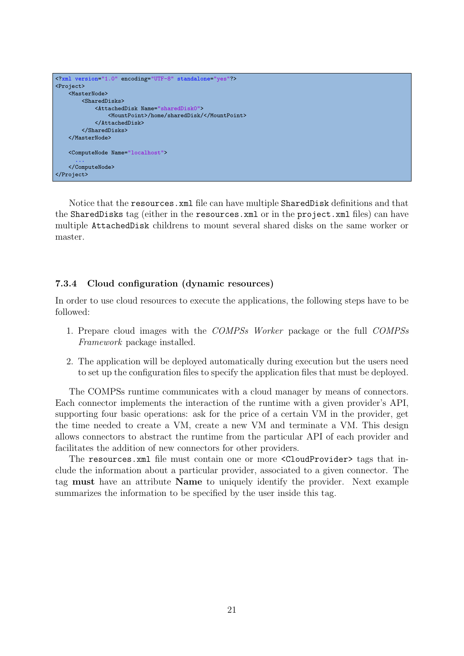

Notice that the resources.xml file can have multiple SharedDisk definitions and that the SharedDisks tag (either in the resources.xml or in the project.xml files) can have multiple AttachedDisk childrens to mount several shared disks on the same worker or master.

#### <span id="page-25-0"></span>7.3.4 Cloud configuration (dynamic resources)

In order to use cloud resources to execute the applications, the following steps have to be followed:

- 1. Prepare cloud images with the COMPSs Worker package or the full COMPSs Framework package installed.
- 2. The application will be deployed automatically during execution but the users need to set up the configuration files to specify the application files that must be deployed.

The COMPSs runtime communicates with a cloud manager by means of connectors. Each connector implements the interaction of the runtime with a given provider's API, supporting four basic operations: ask for the price of a certain VM in the provider, get the time needed to create a VM, create a new VM and terminate a VM. This design allows connectors to abstract the runtime from the particular API of each provider and facilitates the addition of new connectors for other providers.

The resources.xml file must contain one or more <CloudProvider> tags that include the information about a particular provider, associated to a given connector. The tag must have an attribute Name to uniquely identify the provider. Next example summarizes the information to be specified by the user inside this tag.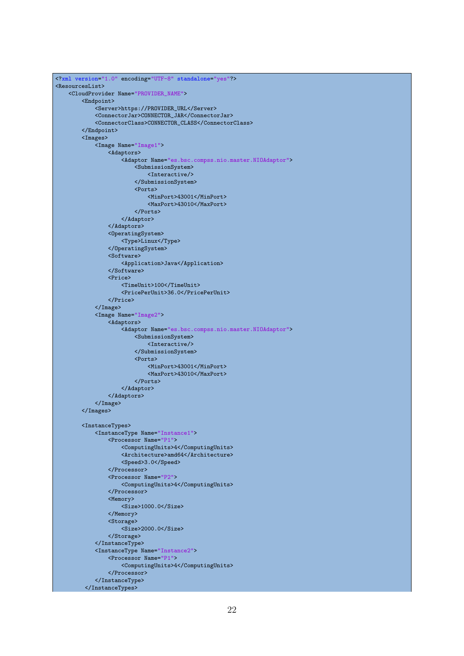```
<?xml version="1.0" encoding="UTF-8" standalone="yes"?>
<ResourcesList>
    <CloudProvider Name="PROVIDER_NAME">
        <Endpoint>
            <Server>https://PROVIDER_URL</Server>
            <ConnectorJar>CONNECTOR_JAR</ConnectorJar>
            <ConnectorClass>CONNECTOR_CLASS</ConnectorClass>
        </Endpoint>
        <Images>
            <Image Name="Image1">
                <Adaptors>
                    <Adaptor Name="es.bsc.compss.nio.master.NIOAdaptor">
                        <SubmissionSystem>
                            <Interactive/>
                        </SubmissionSystem>
                        <Ports>
                            <MinPort>43001</MinPort>
                            <MaxPort>43010</MaxPort>
                        </Ports>
                    </Adaptor>
                </Adaptors>
                <OperatingSystem>
                    <Type>Linux</Type>
                </OperatingSystem>
                <Software>
                    <Application>Java</Application>
                </Software>
                <Price>
                    <TimeUnit>100</TimeUnit>
                    <PricePerUnit>36.0</PricePerUnit>
                </Price>
            </Image>
            <Image Name="Image2">
                <Adaptors>
                    <Adaptor Name="es.bsc.compss.nio.master.NIOAdaptor">
                        .<br><SubmissionSystem>
                            <Interactive/>
                        </SubmissionSystem>
                        <Ports>
                            <MinPort>43001</MinPort>
                            <MaxPort>43010</MaxPort>
                        </Ports>
                    </Adaptor>
                </Adaptors>
            </Image>
        </Images>
        <InstanceTypes>
            <InstanceType Name="Instance1">
                <Processor Name="P1">
                    <ComputingUnits>4</ComputingUnits>
                    <Architecture>amd64</Architecture>
                    <Speed>3.0</Speed>
                </Processor>
                <Processor Name="P2">
                    <ComputingUnits>4</ComputingUnits>
                </Processor>
                <Memory>
                    <Size>1000.0</Size>
                </Memory>
                <Storage>
                    <Size>2000.0</Size>
                </Storage>
            </InstanceType>
            <InstanceType Name="Instance2">
                <Processor Name="P1">
                    <ComputingUnits>4</ComputingUnits>
                </Processor>
            </InstanceType>
         </InstanceTypes>
```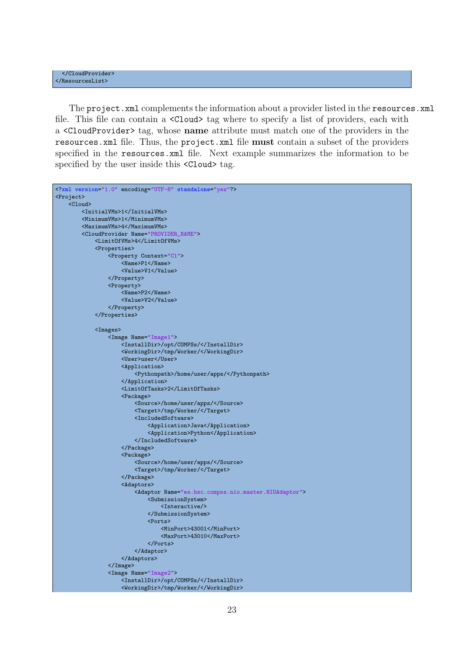The project.xml complements the information about a provider listed in the resources.xml file. This file can contain a  $\langle$ Cloud> tag where to specify a list of providers, each with a <CloudProvider> tag, whose name attribute must match one of the providers in the resources.xml file. Thus, the project.xml file must contain a subset of the providers specified in the resources.xml file. Next example summarizes the information to be specified by the user inside this  $\langle$ Cloud $\rangle$  tag.

```
<?xml version="1.0" encoding="UTF-8" standalone="yes"?>
<Project>
    \zetaCloud>
        <InitialVMs>1</InitialVMs>
        <MinimumVMs>1</MinimumVMs>
        <MaximumVMs>4</MaximumVMs>
        <CloudProvider Name="PROVIDER_NAME">
            <LimitOfVMs>4</LimitOfVMs>
            <Properties>
                <Property Context="C1">
                    <Name>P1</Name>
                    <Value>V1</Value>
                </Property>
                <Property>
                    <Name>P2</Name>
                    <Value>V2</Value>
                </Property>
            </Properties>
            <Images>
                <Image Name="Image1">
                    <InstallDir>/opt/COMPSs/</InstallDir>
                    <WorkingDir>/tmp/Worker/</WorkingDir>
                    <User>user</User>
                    <Application>
                        <Pythonpath>/home/user/apps/</Pythonpath>
                    </Application>
                    <LimitOfTasks>2</LimitOfTasks>
                    <Package>
                        <Source>/home/user/apps/</Source>
                        <Target>/tmp/Worker/</Target>
                        <IncludedSoftware>
                            <Application>Java</Application>
                            <Application>Python</Application>
                        </IncludedSoftware>
                    </Package>
                    <Package>
                        <Source>/home/user/apps/</Source>
                        <Target>/tmp/Worker/</Target>
                    </Package>
                    <Adaptors>
                        <Adaptor Name="es.bsc.compss.nio.master.NIOAdaptor">
                            -<br><SubmissionSystem>
                                <Interactive/>
                            </SubmissionSystem>
                            <Ports>
                                 <MinPort>43001</MinPort>
                                 <MaxPort>43010</MaxPort>
                            </Ports>
                        </Adaptor>
                    </Adaptors>
                </Image>
                <Image Name="Image2">
                    <InstallDir>/opt/COMPSs/</InstallDir>
                    <WorkingDir>/tmp/Worker/</WorkingDir>
```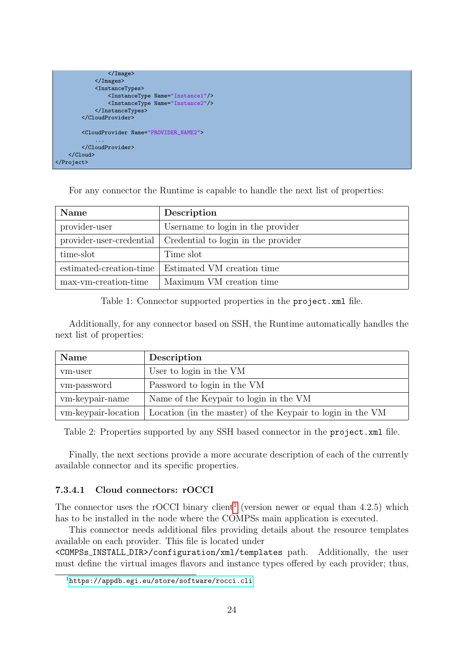

For any connector the Runtime is capable to handle the next list of properties:

| <b>Name</b>              | Description                         |
|--------------------------|-------------------------------------|
| provider-user            | Username to login in the provider   |
| provider-user-credential | Credential to login in the provider |
| time-slot                | Time slot                           |
| estimated-creation-time  | Estimated VM creation time          |
| max-vm-creation-time     | Maximum VM creation time            |

<span id="page-28-1"></span>Table 1: Connector supported properties in the project.xml file.

Additionally, for any connector based on SSH, the Runtime automatically handles the next list of properties:

| Name                | Description                                                |
|---------------------|------------------------------------------------------------|
| vm-user             | User to login in the VM                                    |
| vm-password         | Password to login in the VM                                |
| vm-keypair-name     | Name of the Keypair to login in the VM                     |
| vm-keypair-location | Location (in the master) of the Keypair to login in the VM |

<span id="page-28-2"></span>Table 2: Properties supported by any SSH based connector in the project.xml file.

Finally, the next sections provide a more accurate description of each of the currently available connector and its specific properties.

#### <span id="page-28-0"></span>7.3.4.1 Cloud connectors: rOCCI

The connector uses the rOCCI binary client<sup>[1](#page-28-3)</sup> (version newer or equal than  $4.2.5$ ) which has to be installed in the node where the COMPSs main application is executed.

This connector needs additional files providing details about the resource templates available on each provider. This file is located under

<COMPSs INSTALL DIR>/configuration/xml/templates path. Additionally, the user must define the virtual images flavors and instance types offered by each provider; thus,

<span id="page-28-3"></span><sup>1</sup><https://appdb.egi.eu/store/software/rocci.cli>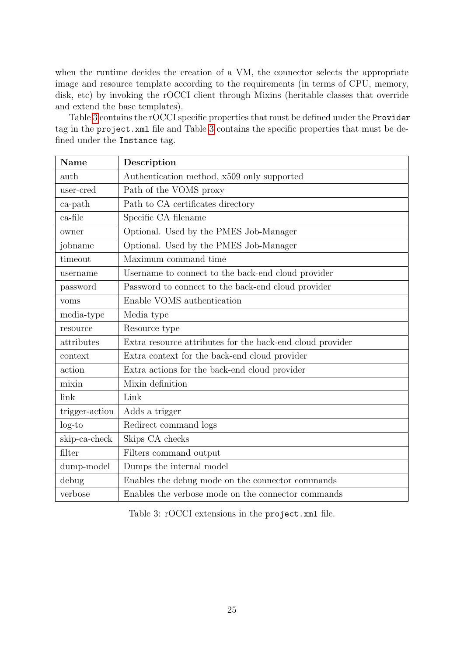when the runtime decides the creation of a VM, the connector selects the appropriate image and resource template according to the requirements (in terms of CPU, memory, disk, etc) by invoking the rOCCI client through Mixins (heritable classes that override and extend the base templates).

Table [3](#page-29-0) contains the rOCCI specific properties that must be defined under the Provider tag in the project.xml file and Table [3](#page-29-0) contains the specific properties that must be defined under the Instance tag.

| Name           | Description                                               |
|----------------|-----------------------------------------------------------|
| auth           | Authentication method, x509 only supported                |
| user-cred      | Path of the VOMS proxy                                    |
| $ca$ -path     | Path to CA certificates directory                         |
| ca-file        | Specific CA filename                                      |
| owner          | Optional. Used by the PMES Job-Manager                    |
| jobname        | Optional. Used by the PMES Job-Manager                    |
| timeout        | Maximum command time                                      |
| username       | Username to connect to the back-end cloud provider        |
| password       | Password to connect to the back-end cloud provider        |
| voms           | Enable VOMS authentication                                |
| media-type     | Media type                                                |
| resource       | Resource type                                             |
| attributes     | Extra resource attributes for the back-end cloud provider |
| context        | Extra context for the back-end cloud provider             |
| action         | Extra actions for the back-end cloud provider             |
| mixin          | Mixin definition                                          |
| link           | Link                                                      |
| trigger-action | Adds a trigger                                            |
| $log-to$       | Redirect command logs                                     |
| skip-ca-check  | Skips CA checks                                           |
| filter         | Filters command output                                    |
| dump-model     | Dumps the internal model                                  |
| debug          | Enables the debug mode on the connector commands          |
| verbose        | Enables the verbose mode on the connector commands        |

<span id="page-29-0"></span>Table 3: rOCCI extensions in the project.xml file.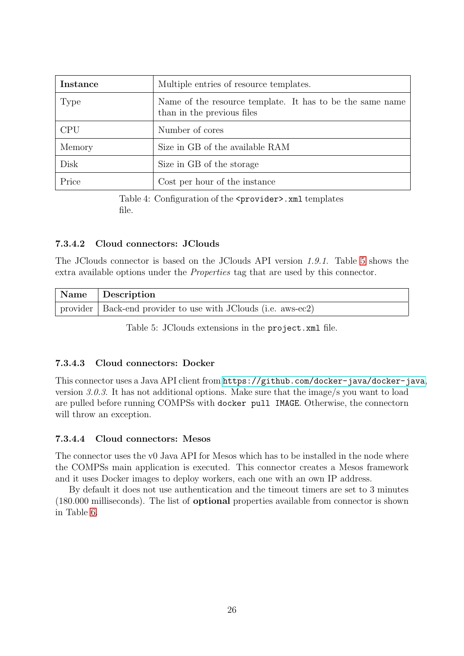<span id="page-30-3"></span>

| Instance   | Multiple entries of resource templates.                                                 |
|------------|-----------------------------------------------------------------------------------------|
| Type       | Name of the resource template. It has to be the same name<br>than in the previous files |
| <b>CPU</b> | Number of cores                                                                         |
| Memory     | Size in GB of the available RAM                                                         |
| Disk       | Size in GB of the storage                                                               |
| Price      | Cost per hour of the instance                                                           |

Table 4: Configuration of the <provider>.xml templates file.

#### <span id="page-30-0"></span>7.3.4.2 Cloud connectors: JClouds

The JClouds connector is based on the JClouds API version 1.9.1. Table [5](#page-30-4) shows the extra available options under the Properties tag that are used by this connector.

| Name Description                                                |
|-----------------------------------------------------------------|
| provider   Back-end provider to use with JClouds (i.e. aws-ec2) |

<span id="page-30-4"></span>Table 5: JClouds extensions in the project.xml file.

#### <span id="page-30-1"></span>7.3.4.3 Cloud connectors: Docker

This connector uses a Java API client from <https://github.com/docker-java/docker-java>, version 3.0.3. It has not additional options. Make sure that the image/s you want to load are pulled before running COMPSs with docker pull IMAGE. Otherwise, the connectorn will throw an exception.

#### <span id="page-30-2"></span>7.3.4.4 Cloud connectors: Mesos

The connector uses the v0 Java API for Mesos which has to be installed in the node where the COMPSs main application is executed. This connector creates a Mesos framework and it uses Docker images to deploy workers, each one with an own IP address.

By default it does not use authentication and the timeout timers are set to 3 minutes (180.000 milliseconds). The list of optional properties available from connector is shown in Table [6.](#page-31-1)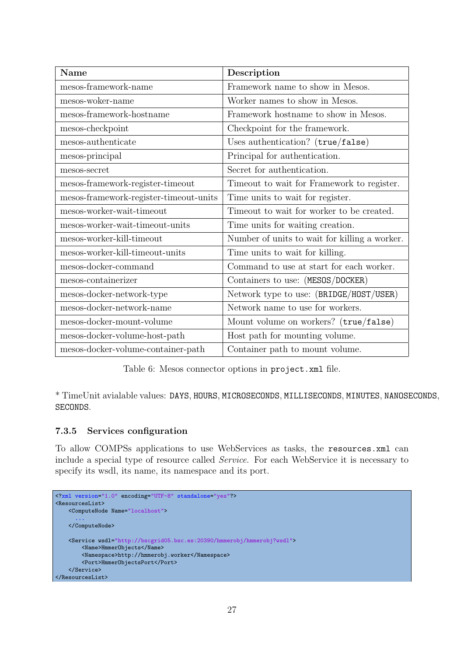| Name                                   | Description                                   |
|----------------------------------------|-----------------------------------------------|
| mesos-framework-name                   | Framework name to show in Mesos.              |
| mesos-woker-name                       | Worker names to show in Mesos.                |
| mesos-framework-hostname               | Framework hostname to show in Mesos.          |
| mesos-checkpoint                       | Checkpoint for the framework.                 |
| mesos-authenticate                     | Uses authentication? (true/false)             |
| mesos-principal                        | Principal for authentication.                 |
| mesos-secret                           | Secret for authentication.                    |
| mesos-framework-register-timeout       | Timeout to wait for Framework to register.    |
| mesos-framework-register-timeout-units | Time units to wait for register.              |
| mesos-worker-wait-timeout              | Timeout to wait for worker to be created.     |
| mesos-worker-wait-timeout-units        | Time units for waiting creation.              |
| mesos-worker-kill-timeout              | Number of units to wait for killing a worker. |
| mesos-worker-kill-timeout-units        | Time units to wait for killing.               |
| mesos-docker-command                   | Command to use at start for each worker.      |
| mesos-containerizer                    | Containers to use: (MESOS/DOCKER)             |
| mesos-docker-network-type              | Network type to use: (BRIDGE/HOST/USER)       |
| mesos-docker-network-name              | Network name to use for workers.              |
| mesos-docker-mount-volume              | Mount volume on workers? (true/false)         |
| mesos-docker-volume-host-path          | Host path for mounting volume.                |
| mesos-docker-volume-container-path     | Container path to mount volume.               |

<span id="page-31-1"></span>Table 6: Mesos connector options in project.xml file.

\* TimeUnit avialable values: DAYS, HOURS, MICROSECONDS, MILLISECONDS, MINUTES, NANOSECONDS, SECONDS.

#### <span id="page-31-0"></span>7.3.5 Services configuration

To allow COMPSs applications to use WebServices as tasks, the resources.xml can include a special type of resource called Service. For each WebService it is necessary to specify its wsdl, its name, its namespace and its port.

```
<?xml version="1.0" encoding="UTF-8" standalone="yes"?>
<ResourcesList>
   <ComputeNode Name="localhost">
      ...
    </ComputeNode>
   <Service wsdl="http://bscgrid05.bsc.es:20390/hmmerobj/hmmerobj?wsdl">
       <Name>HmmerObjects</Name>
       <Namespace>http://hmmerobj.worker</Namespace>
       <Port>HmmerObjectsPort</Port>
   </Service>
</ResourcesList>
```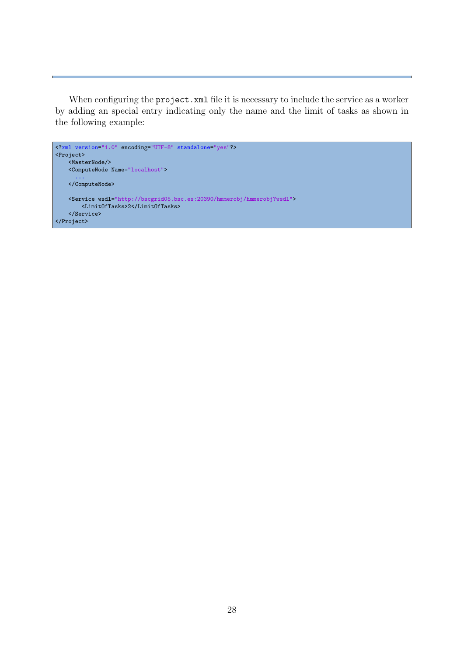When configuring the project. xml file it is necessary to include the service as a worker by adding an special entry indicating only the name and the limit of tasks as shown in the following example: